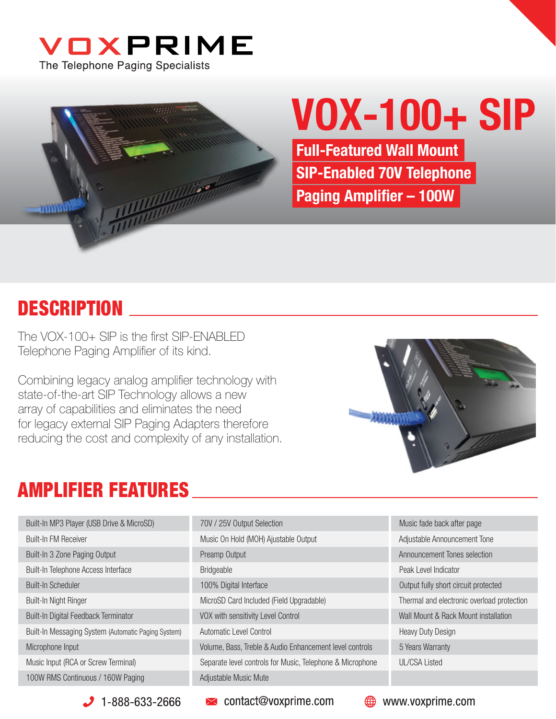



# VOX-100+ SIP

Full-Featured Wall Mount SIP-Enabled 70V Telephone Paging Amplifier - 100W

#### **DESCRIPTION**

The  $VOX-100+$  SIP is the first SIP-FNABLED Telephone Paging Amplifier of its kind.

Combining legacy analog amplifier technology with state-of-the-art SIP Technology allows a new array of capabilities and eliminates the need for legacy external SIP Paging Adapters therefore reducing the cost and complexity of any installation.



#### AMPLIFIER FEATURES

| Built-In MP3 Player (USB Drive & MicroSD)           | 70V / 25V Output Selection                                | Music fade back after page                 |
|-----------------------------------------------------|-----------------------------------------------------------|--------------------------------------------|
| <b>Built-In FM Receiver</b>                         | Music On Hold (MOH) Ajustable Output                      | Adjustable Announcement Tone               |
| Built-In 3 Zone Paging Output                       | Preamp Output                                             | Announcement Tones selection               |
| Built-In Telephone Access Interface                 | <b>Bridgeable</b>                                         | Peak Level Indicator                       |
| <b>Built-In Scheduler</b>                           | 100% Digital Interface                                    | Output fully short circuit protected       |
| Built-In Night Ringer                               | MicroSD Card Included (Field Upgradable)                  | Thermal and electronic overload protection |
| Built-In Digital Feedback Terminator                | VOX with sensitivity Level Control                        | Wall Mount & Rack Mount installation       |
| Built-In Messaging System (Automatic Paging System) | Automatic Level Control                                   | <b>Heavy Duty Design</b>                   |
| Microphone Input                                    | Volume, Bass, Treble & Audio Enhancement level controls   | 5 Years Warranty                           |
| Music Input (RCA or Screw Terminal)                 | Separate level controls for Music, Telephone & Microphone | <b>UL/CSA Listed</b>                       |
| 100W RMS Continuous / 160W Paging                   | Adjustable Music Mute                                     |                                            |

 $\bigcup$  1-888-633-2666

 $\blacktriangleright$  contact@voxprime.com

**<sup>₩</sup>** www.voxprime.com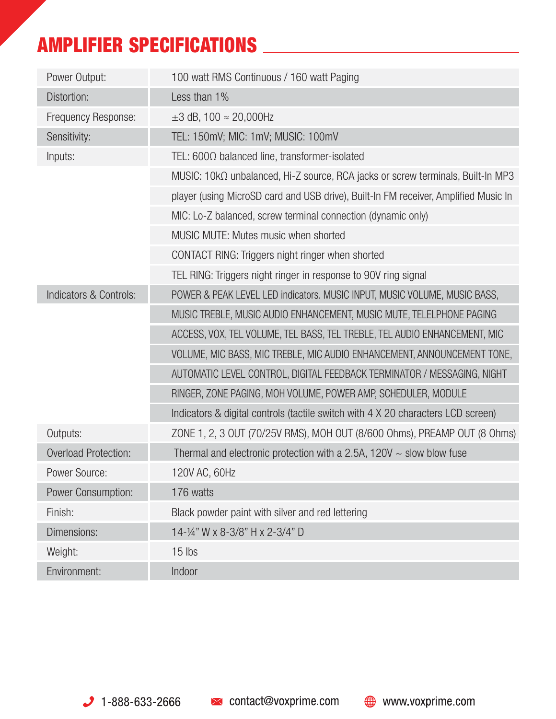## AMPLIFIER SPECIFICATIONS

| Power Output:               | 100 watt RMS Continuous / 160 watt Paging                                           |
|-----------------------------|-------------------------------------------------------------------------------------|
| Distortion:                 | Less than 1%                                                                        |
| Frequency Response:         | $\pm 3$ dB, 100 $\approx$ 20,000Hz                                                  |
| Sensitivity:                | TEL: 150mV; MIC: 1mV; MUSIC: 100mV                                                  |
| Inputs:                     | TEL: $600\Omega$ balanced line, transformer-isolated                                |
|                             | MUSIC: 10kΩ unbalanced, Hi-Z source, RCA jacks or screw terminals, Built-In MP3     |
|                             | player (using MicroSD card and USB drive), Built-In FM receiver, Amplified Music In |
|                             | MIC: Lo-Z balanced, screw terminal connection (dynamic only)                        |
|                             | MUSIC MUTE: Mutes music when shorted                                                |
|                             | CONTACT RING: Triggers night ringer when shorted                                    |
|                             | TEL RING: Triggers night ringer in response to 90V ring signal                      |
| Indicators & Controls:      | POWER & PEAK LEVEL LED indicators. MUSIC INPUT, MUSIC VOLUME, MUSIC BASS,           |
|                             | MUSIC TREBLE, MUSIC AUDIO ENHANCEMENT, MUSIC MUTE, TELELPHONE PAGING                |
|                             | ACCESS, VOX, TEL VOLUME, TEL BASS, TEL TREBLE, TEL AUDIO ENHANCEMENT, MIC           |
|                             | VOLUME, MIC BASS, MIC TREBLE, MIC AUDIO ENHANCEMENT, ANNOUNCEMENT TONE,             |
|                             | AUTOMATIC LEVEL CONTROL, DIGITAL FEEDBACK TERMINATOR / MESSAGING, NIGHT             |
|                             | RINGER, ZONE PAGING, MOH VOLUME, POWER AMP, SCHEDULER, MODULE                       |
|                             | Indicators & digital controls (tactile switch with 4 X 20 characters LCD screen)    |
| Outputs:                    | ZONE 1, 2, 3 OUT (70/25V RMS), MOH OUT (8/600 Ohms), PREAMP OUT (8 Ohms)            |
| <b>Overload Protection:</b> | Thermal and electronic protection with a 2.5A, $120V \sim$ slow blow fuse           |
| Power Source:               | 120V AC, 60Hz                                                                       |
| <b>Power Consumption:</b>   | 176 watts                                                                           |
| Finish:                     | Black powder paint with silver and red lettering                                    |
| Dimensions:                 | 14-1/4" W x 8-3/8" H x 2-3/4" D                                                     |
| Weight:                     | 15 lbs                                                                              |
| Environment:                | Indoor                                                                              |